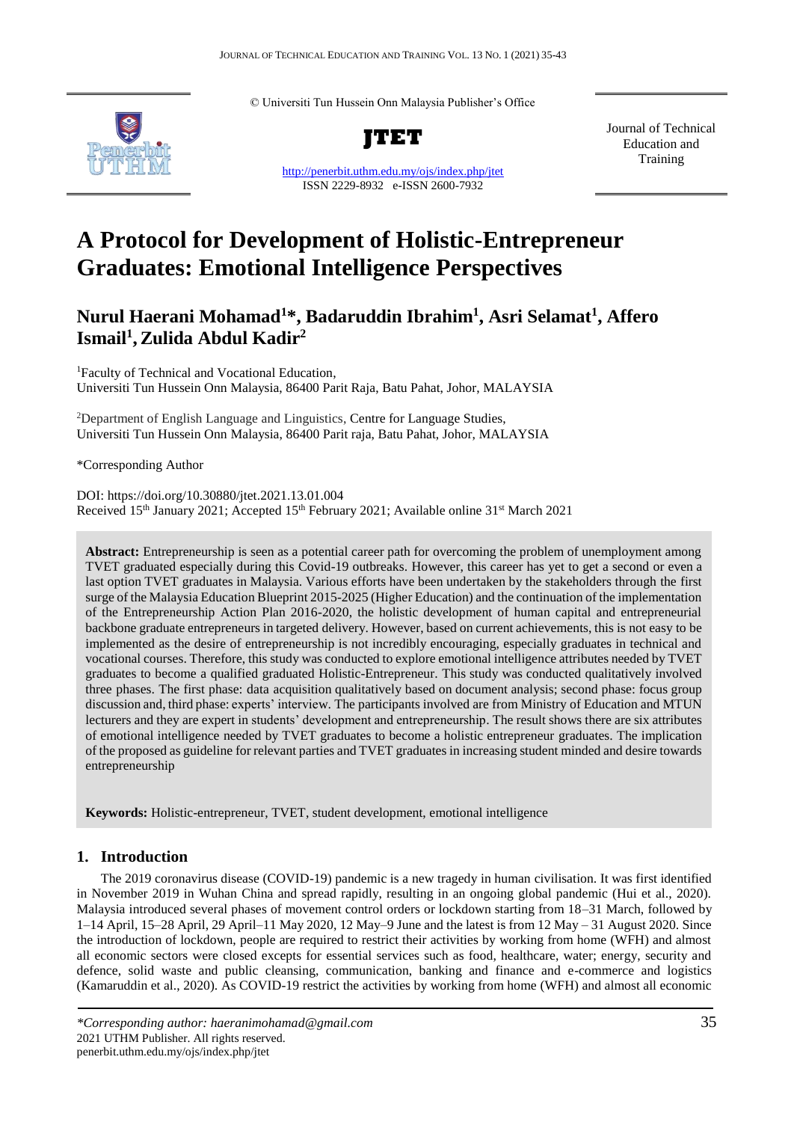© Universiti Tun Hussein Onn Malaysia Publisher's Office



**JTET**

<http://penerbit.uthm.edu.my/ojs/index.php/jtet> ISSN 2229-8932 e-ISSN 2600-7932

Journal of Technical Education and Training

# **A Protocol for Development of Holistic-Entrepreneur Graduates: Emotional Intelligence Perspectives**

# **Nurul Haerani Mohamad<sup>1</sup>\*, Badaruddin Ibrahim<sup>1</sup> , Asri Selamat<sup>1</sup> , Affero Ismail<sup>1</sup> ,Zulida Abdul Kadir<sup>2</sup>**

<sup>1</sup>Faculty of Technical and Vocational Education, Universiti Tun Hussein Onn Malaysia, 86400 Parit Raja, Batu Pahat, Johor, MALAYSIA

<sup>2</sup>Department of English Language and Linguistics, Centre for Language Studies, Universiti Tun Hussein Onn Malaysia, 86400 Parit raja, Batu Pahat, Johor, MALAYSIA

\*Corresponding Author

DOI: https://doi.org/10.30880/jtet.2021.13.01.004 Received 15<sup>th</sup> January 2021; Accepted 15<sup>th</sup> February 2021; Available online 31<sup>st</sup> March 2021

**Abstract:** Entrepreneurship is seen as a potential career path for overcoming the problem of unemployment among TVET graduated especially during this Covid-19 outbreaks. However, this career has yet to get a second or even a last option TVET graduates in Malaysia. Various efforts have been undertaken by the stakeholders through the first surge of the Malaysia Education Blueprint 2015-2025 (Higher Education) and the continuation of the implementation of the Entrepreneurship Action Plan 2016-2020, the holistic development of human capital and entrepreneurial backbone graduate entrepreneurs in targeted delivery. However, based on current achievements, this is not easy to be implemented as the desire of entrepreneurship is not incredibly encouraging, especially graduates in technical and vocational courses. Therefore, this study was conducted to explore emotional intelligence attributes needed by TVET graduates to become a qualified graduated Holistic-Entrepreneur. This study was conducted qualitatively involved three phases. The first phase: data acquisition qualitatively based on document analysis; second phase: focus group discussion and, third phase: experts' interview. The participants involved are from Ministry of Education and MTUN lecturers and they are expert in students' development and entrepreneurship. The result shows there are six attributes of emotional intelligence needed by TVET graduates to become a holistic entrepreneur graduates. The implication of the proposed as guideline for relevant parties and TVET graduates in increasing student minded and desire towards entrepreneurship

**Keywords:** Holistic-entrepreneur, TVET, student development, emotional intelligence

# **1. Introduction**

The 2019 coronavirus disease (COVID-19) pandemic is a new tragedy in human civilisation. It was first identified in November 2019 in Wuhan China and spread rapidly, resulting in an ongoing global pandemic (Hui et al., 2020). Malaysia introduced several phases of movement control orders or lockdown starting from 18–31 March, followed by 1–14 April, 15–28 April, 29 April–11 May 2020, 12 May–9 June and the latest is from 12 May – 31 August 2020. Since the introduction of lockdown, people are required to restrict their activities by working from home (WFH) and almost all economic sectors were closed excepts for essential services such as food, healthcare, water; energy, security and defence, solid waste and public cleansing, communication, banking and finance and e-commerce and logistics (Kamaruddin et al., 2020). As COVID-19 restrict the activities by working from home (WFH) and almost all economic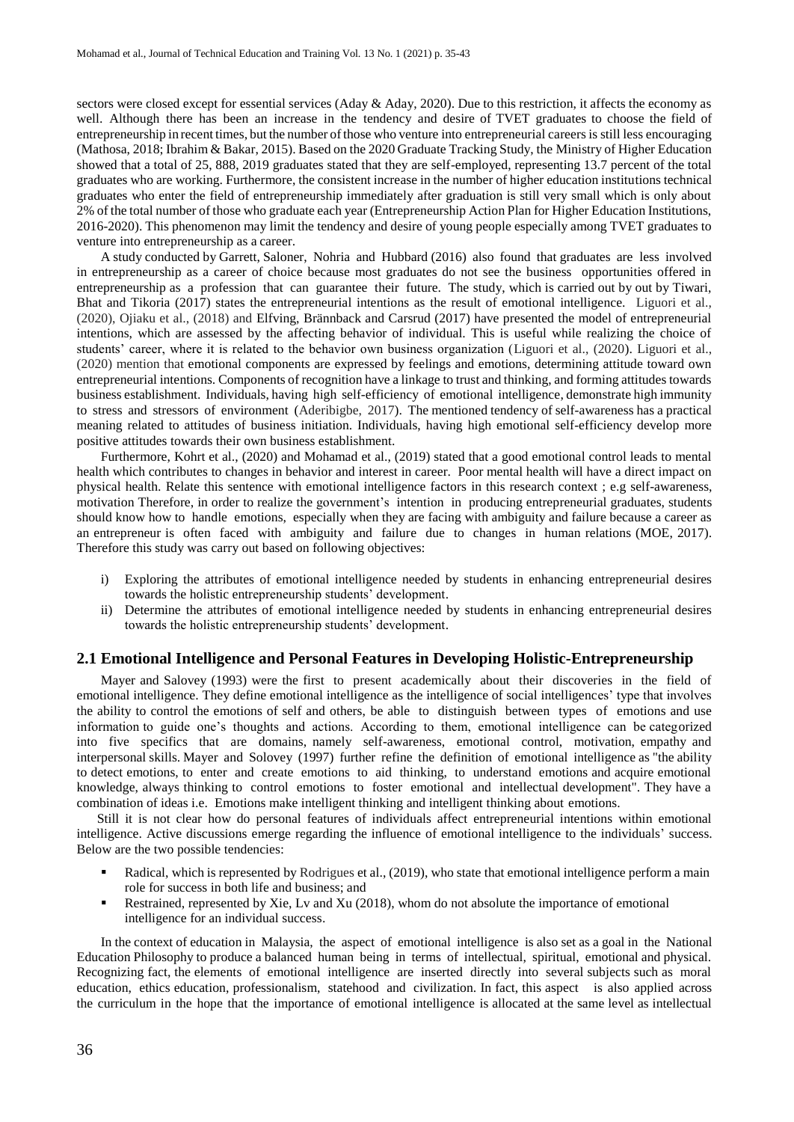sectors were closed except for essential services (Aday & Aday, 2020). Due to this restriction, it affects the economy as well. Although there has been an increase in the tendency and desire of TVET graduates to choose the field of entrepreneurship in recent times, but the number ofthose who venture into entrepreneurial careers is still less encouraging (Mathosa, 2018; Ibrahim & Bakar, 2015). Based on the 2020 Graduate Tracking Study, the Ministry of Higher Education showed that a total of 25, 888, 2019 graduates stated that they are self-employed, representing 13.7 percent of the total graduates who are working. Furthermore, the consistent increase in the number of higher education institutions technical graduates who enter the field of entrepreneurship immediately after graduation is still very small which is only about 2% of the total number of those who graduate each year (Entrepreneurship Action Plan for Higher Education Institutions, 2016-2020). This phenomenon may limit the tendency and desire of young people especially among TVET graduates to venture into entrepreneurship as a career.

A study conducted by Garrett, Saloner, Nohria and Hubbard (2016) also found that graduates are less involved in entrepreneurship as a career of choice because most graduates do not see the business opportunities offered in entrepreneurship as a profession that can guarantee their future. The study, which is carried out by out by Tiwari, Bhat and Tikoria (2017) states the entrepreneurial intentions as the result of emotional intelligence. Liguori et al., (2020), Ojiaku et al., (2018) and Elfving, Brännback and Carsrud (2017) have presented the model of entrepreneurial intentions, which are assessed by the affecting behavior of individual. This is useful while realizing the choice of students' career, where it is related to the behavior own business organization (Liguori et al., (2020). Liguori et al., (2020) mention that emotional components are expressed by feelings and emotions, determining attitude toward own entrepreneurial intentions. Components of recognition have a linkage to trust and thinking, and forming attitudes towards business establishment. Individuals, having high self-efficiency of emotional intelligence, demonstrate high immunity to stress and stressors of environment (Aderibigbe, 2017). The mentioned tendency of self-awareness has a practical meaning related to attitudes of business initiation. Individuals, having high emotional self-efficiency develop more positive attitudes towards their own business establishment.

Furthermore, Kohrt et al., (2020) and Mohamad et al., (2019) stated that a good emotional control leads to mental health which contributes to changes in behavior and interest in career. Poor mental health will have a direct impact on physical health. Relate this sentence with emotional intelligence factors in this research context ; e.g self-awareness, motivation Therefore, in order to realize the government's intention in producing entrepreneurial graduates, students should know how to handle emotions, especially when they are facing with ambiguity and failure because a career as an entrepreneur is often faced with ambiguity and failure due to changes in human relations (MOE, 2017). Therefore this study was carry out based on following objectives:

- i) Exploring the attributes of emotional intelligence needed by students in enhancing entrepreneurial desires towards the holistic entrepreneurship students' development.
- Determine the attributes of emotional intelligence needed by students in enhancing entrepreneurial desires towards the holistic entrepreneurship students' development.

#### **2.1 Emotional Intelligence and Personal Features in Developing Holistic-Entrepreneurship**

Mayer and Salovey (1993) were the first to present academically about their discoveries in the field of emotional intelligence. They define emotional intelligence as the intelligence of social intelligences' type that involves the ability to control the emotions of self and others, be able to distinguish between types of emotions and use information to guide one's thoughts and actions. According to them, emotional intelligence can be categorized into five specifics that are domains, namely self-awareness, emotional control, motivation, empathy and interpersonal skills. Mayer and Solovey (1997) further refine the definition of emotional intelligence as "the ability to detect emotions, to enter and create emotions to aid thinking, to understand emotions and acquire emotional knowledge, always thinking to control emotions to foster emotional and intellectual development". They have a combination of ideas i.e. Emotions make intelligent thinking and intelligent thinking about emotions.

Still it is not clear how do personal features of individuals affect entrepreneurial intentions within emotional intelligence. Active discussions emerge regarding the influence of emotional intelligence to the individuals' success. Below are the two possible tendencies:

- Radical, which is represented by Rodrigues et al., (2019), who state that emotional intelligence perform a main role for success in both life and business; and
- **Restrained, represented by Xie, Lv and Xu (2018), whom do not absolute the importance of emotional** intelligence for an individual success.

In the context of education in Malaysia, the aspect of emotional intelligence is also set as a goal in the National Education Philosophy to produce a balanced human being in terms of intellectual, spiritual, emotional and physical. Recognizing fact, the elements of emotional intelligence are inserted directly into several subjects such as moral education, ethics education, professionalism, statehood and civilization. In fact, this aspect is also applied across the curriculum in the hope that the importance of emotional intelligence is allocated at the same level as intellectual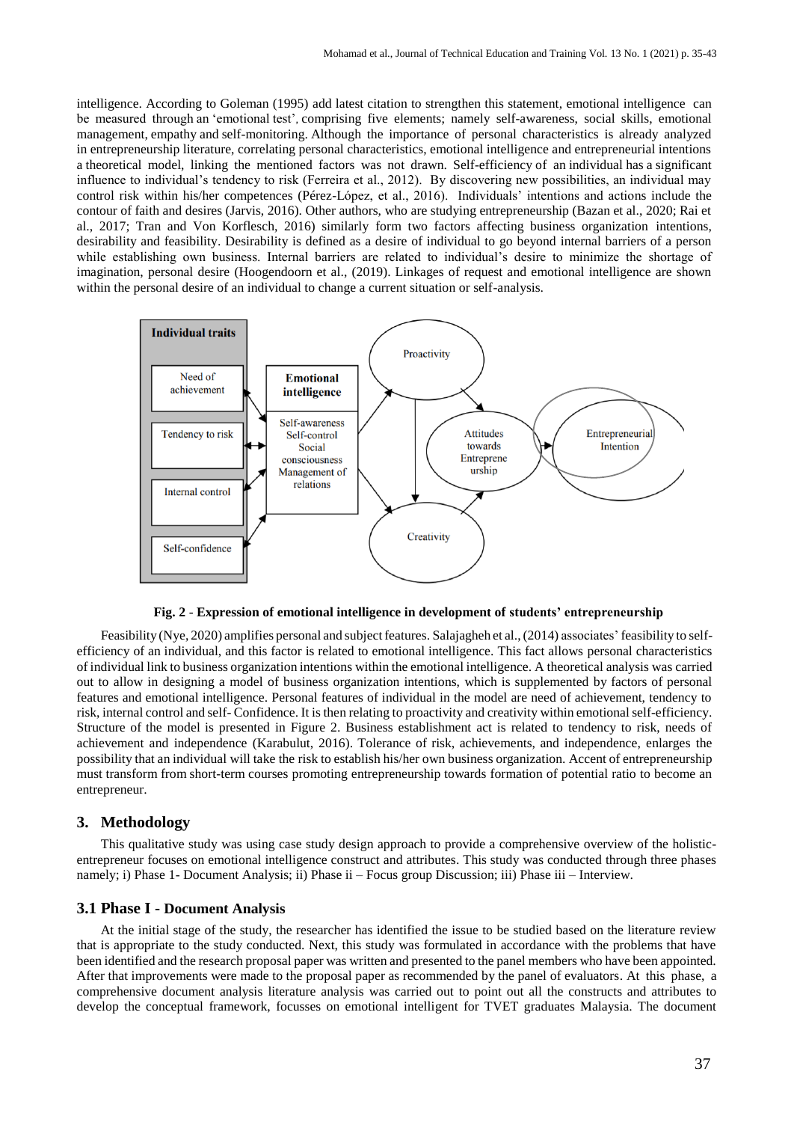intelligence. According to Goleman (1995) add latest citation to strengthen this statement, emotional intelligence can be measured through an 'emotional test', comprising five elements; namely self-awareness, social skills, emotional management, empathy and self-monitoring. Although the importance of personal characteristics is already analyzed in entrepreneurship literature, correlating personal characteristics, emotional intelligence and entrepreneurial intentions a theoretical model, linking the mentioned factors was not drawn. Self-efficiency of an individual has a significant influence to individual's tendency to risk (Ferreira et al., 2012). By discovering new possibilities, an individual may control risk within his/her competences (Pérez-López, et al., 2016). Individuals' intentions and actions include the contour of faith and desires (Jarvis, 2016). Other authors, who are studying entrepreneurship (Bazan et al., 2020; Rai et al., 2017; Tran and Von Korflesch, 2016) similarly form two factors affecting business organization intentions, desirability and feasibility. Desirability is defined as a desire of individual to go beyond internal barriers of a person while establishing own business. Internal barriers are related to individual's desire to minimize the shortage of imagination, personal desire (Hoogendoorn et al., (2019). Linkages of request and emotional intelligence are shown within the personal desire of an individual to change a current situation or self-analysis.



**Fig. 2** - **Expression of emotional intelligence in development of students' entrepreneurship**

Feasibility (Nye, 2020) amplifies personal and subject features. Salajagheh et al., (2014) associates' feasibility to selfefficiency of an individual, and this factor is related to emotional intelligence. This fact allows personal characteristics of individual link to business organization intentions within the emotional intelligence. A theoretical analysis was carried out to allow in designing a model of business organization intentions, which is supplemented by factors of personal features and emotional intelligence. Personal features of individual in the model are need of achievement, tendency to risk, internal control and self- Confidence. It is then relating to proactivity and creativity within emotionalself-efficiency. Structure of the model is presented in Figure 2. Business establishment act is related to tendency to risk, needs of achievement and independence (Karabulut, 2016). Tolerance of risk, achievements, and independence, enlarges the possibility that an individual will take the risk to establish his/her own business organization. Accent of entrepreneurship must transform from short-term courses promoting entrepreneurship towards formation of potential ratio to become an entrepreneur.

# **3. Methodology**

This qualitative study was using case study design approach to provide a comprehensive overview of the holisticentrepreneur focuses on emotional intelligence construct and attributes. This study was conducted through three phases namely; i) Phase 1- Document Analysis; ii) Phase ii – Focus group Discussion; iii) Phase iii – Interview.

#### **3.1 Phase I - Document Analysis**

At the initial stage of the study, the researcher has identified the issue to be studied based on the literature review that is appropriate to the study conducted. Next, this study was formulated in accordance with the problems that have been identified and the research proposal paper was written and presented to the panel members who have been appointed. After that improvements were made to the proposal paper as recommended by the panel of evaluators. At this phase, a comprehensive document analysis literature analysis was carried out to point out all the constructs and attributes to develop the conceptual framework, focusses on emotional intelligent for TVET graduates Malaysia. The document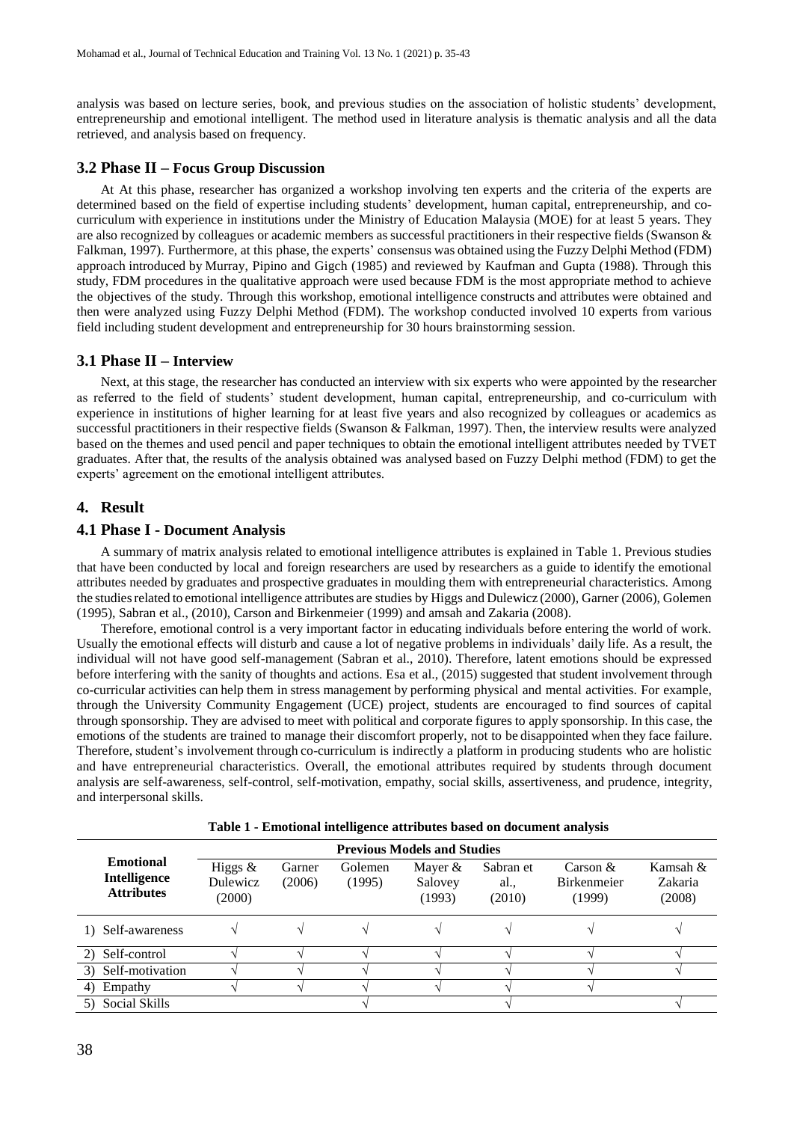analysis was based on lecture series, book, and previous studies on the association of holistic students' development, entrepreneurship and emotional intelligent. The method used in literature analysis is thematic analysis and all the data retrieved, and analysis based on frequency.

#### **3.2 Phase II – Focus Group Discussion**

At At this phase, researcher has organized a workshop involving ten experts and the criteria of the experts are determined based on the field of expertise including students' development, human capital, entrepreneurship, and cocurriculum with experience in institutions under the Ministry of Education Malaysia (MOE) for at least 5 years. They are also recognized by colleagues or academic members as successful practitioners in their respective fields (Swanson  $\&$ Falkman, 1997). Furthermore, at this phase, the experts' consensus was obtained using the Fuzzy Delphi Method (FDM) approach introduced by Murray, Pipino and Gigch (1985) and reviewed by Kaufman and Gupta (1988). Through this study, FDM procedures in the qualitative approach were used because FDM is the most appropriate method to achieve the objectives of the study. Through this workshop, emotional intelligence constructs and attributes were obtained and then were analyzed using Fuzzy Delphi Method (FDM). The workshop conducted involved 10 experts from various field including student development and entrepreneurship for 30 hours brainstorming session.

#### **3.1 Phase II – Interview**

Next, at this stage, the researcher has conducted an interview with six experts who were appointed by the researcher as referred to the field of students' student development, human capital, entrepreneurship, and co-curriculum with experience in institutions of higher learning for at least five years and also recognized by colleagues or academics as successful practitioners in their respective fields (Swanson & Falkman, 1997). Then, the interview results were analyzed based on the themes and used pencil and paper techniques to obtain the emotional intelligent attributes needed by TVET graduates. After that, the results of the analysis obtained was analysed based on Fuzzy Delphi method (FDM) to get the experts' agreement on the emotional intelligent attributes.

#### **4. Result**

#### **4.1 Phase I - Document Analysis**

A summary of matrix analysis related to emotional intelligence attributes is explained in Table 1. Previous studies that have been conducted by local and foreign researchers are used by researchers as a guide to identify the emotional attributes needed by graduates and prospective graduates in moulding them with entrepreneurial characteristics. Among the studiesrelated to emotional intelligence attributes are studies by Higgs and Dulewicz (2000), Garner (2006), Golemen (1995), Sabran et al., (2010), Carson and Birkenmeier (1999) and amsah and Zakaria (2008).

Therefore, emotional control is a very important factor in educating individuals before entering the world of work. Usually the emotional effects will disturb and cause a lot of negative problems in individuals' daily life. As a result, the individual will not have good self-management (Sabran et al., 2010). Therefore, latent emotions should be expressed before interfering with the sanity of thoughts and actions. Esa et al., (2015) suggested that student involvement through co-curricular activities can help them in stress management by performing physical and mental activities. For example, through the University Community Engagement (UCE) project, students are encouraged to find sources of capital through sponsorship. They are advised to meet with political and corporate figures to apply sponsorship. In this case, the emotions of the students are trained to manage their discomfort properly, not to be disappointed when they face failure. Therefore, student's involvement through co-curriculum is indirectly a platform in producing students who are holistic and have entrepreneurial characteristics. Overall, the emotional attributes required by students through document analysis are self-awareness, self-control, self-motivation, empathy, social skills, assertiveness, and prudence, integrity, and interpersonal skills.

| <b>Previous Models and Studies</b>                           |                                 |                  |                   |                              |                            |                                             |                               |
|--------------------------------------------------------------|---------------------------------|------------------|-------------------|------------------------------|----------------------------|---------------------------------------------|-------------------------------|
| <b>Emotional</b><br><b>Intelligence</b><br><b>Attributes</b> | Higgs $&$<br>Dulewicz<br>(2000) | Garner<br>(2006) | Golemen<br>(1995) | Mayer &<br>Salovey<br>(1993) | Sabran et<br>al.<br>(2010) | Carson $\&$<br><b>Birkenmeier</b><br>(1999) | Kamsah &<br>Zakaria<br>(2008) |
| 1) Self-awareness                                            |                                 |                  |                   |                              |                            |                                             |                               |
| Self-control<br>2)                                           |                                 |                  |                   |                              |                            |                                             |                               |
| Self-motivation<br>3)                                        |                                 |                  |                   |                              |                            |                                             |                               |
| Empathy<br>4)                                                |                                 |                  |                   |                              |                            |                                             |                               |
| Social Skills                                                |                                 |                  |                   |                              |                            |                                             |                               |

**Table 1 - Emotional intelligence attributes based on document analysis**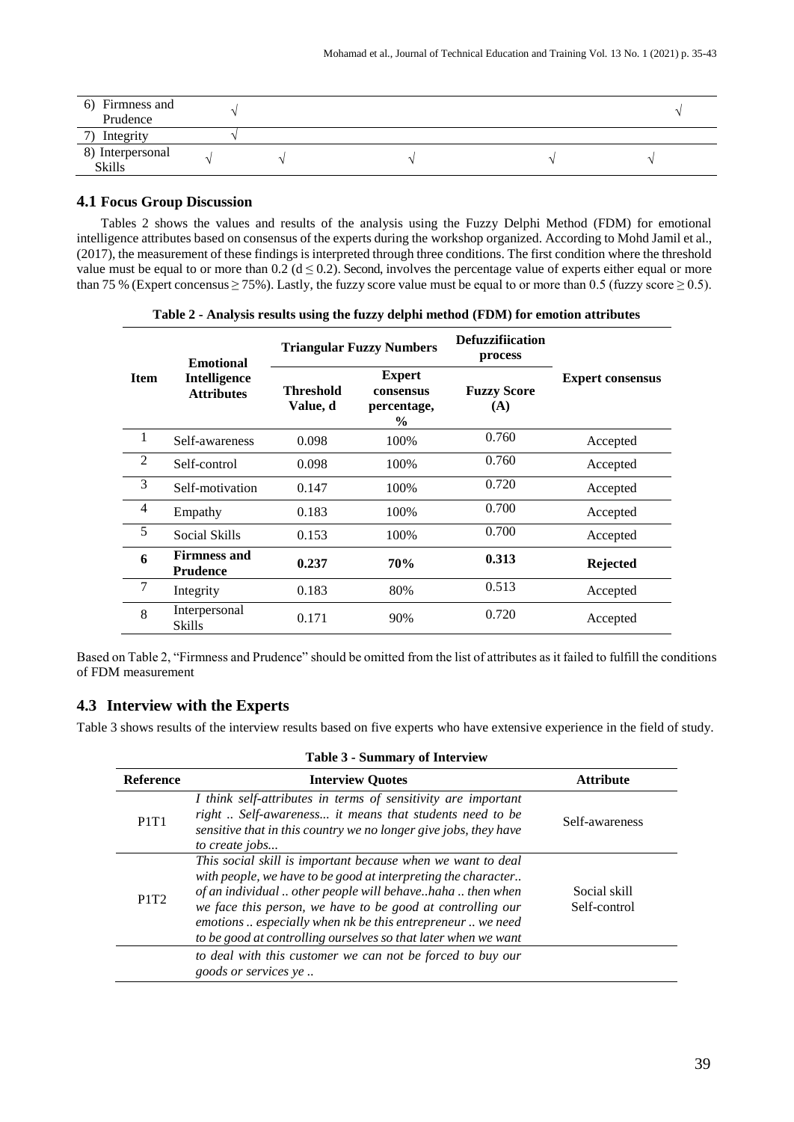| 6) Firmness and<br>Prudence       |  |  |  |
|-----------------------------------|--|--|--|
| Integrity<br>7)                   |  |  |  |
| 8) Interpersonal<br><b>Skills</b> |  |  |  |

# **4.1 Focus Group Discussion**

Tables 2 shows the values and results of the analysis using the Fuzzy Delphi Method (FDM) for emotional intelligence attributes based on consensus of the experts during the workshop organized. According to Mohd Jamil et al., (2017), the measurement of these findings is interpreted through three conditions. The first condition where the threshold value must be equal to or more than  $0.2$  ( $d \le 0.2$ ). Second, involves the percentage value of experts either equal or more than 75 % (Expert concensus  $\geq$  75%). Lastly, the fuzzy score value must be equal to or more than 0.5 (fuzzy score  $\geq$  0.5).

| Table 2 - Analysis results using the fuzzy delphi method (FDM) for emotion attributes |  |  |
|---------------------------------------------------------------------------------------|--|--|
|---------------------------------------------------------------------------------------|--|--|

|                | <b>Emotional</b>                         | <b>Triangular Fuzzy Numbers</b>                                                     |      | <b>Defuzzifiication</b><br>process                   |                 |
|----------------|------------------------------------------|-------------------------------------------------------------------------------------|------|------------------------------------------------------|-----------------|
| <b>Item</b>    | <b>Intelligence</b><br><b>Attributes</b> | <b>Expert</b><br>Threshold<br>consensus<br>Value, d<br>percentage,<br>$\frac{6}{9}$ |      | <b>Expert consensus</b><br><b>Fuzzy Score</b><br>(A) |                 |
|                | Self-awareness                           | 0.098                                                                               | 100% | 0.760                                                | Accepted        |
| 2              | Self-control                             | 0.098                                                                               | 100% | 0.760                                                | Accepted        |
| 3              | Self-motivation                          | 0.147                                                                               | 100% | 0.720                                                | Accepted        |
| $\overline{4}$ | Empathy                                  | 0.183                                                                               | 100% | 0.700                                                | Accepted        |
| 5              | Social Skills                            | 0.153                                                                               | 100% | 0.700                                                | Accepted        |
| 6              | <b>Firmness and</b><br><b>Prudence</b>   | 0.237                                                                               | 70%  | 0.313                                                | <b>Rejected</b> |
| 7              | Integrity                                | 0.183                                                                               | 80%  | 0.513                                                | Accepted        |
| 8              | Interpersonal<br><b>Skills</b>           | 0.171                                                                               | 90%  | 0.720                                                | Accepted        |

Based on Table 2, "Firmness and Prudence" should be omitted from the list of attributes as it failed to fulfill the conditions of FDM measurement

# **4.3 Interview with the Experts**

Table 3 shows results of the interview results based on five experts who have extensive experience in the field of study.

| <b>Table 3 - Summary of Interview</b> |                                                                                                                                                                                                                                                                                                                                                                                         |                              |  |  |  |
|---------------------------------------|-----------------------------------------------------------------------------------------------------------------------------------------------------------------------------------------------------------------------------------------------------------------------------------------------------------------------------------------------------------------------------------------|------------------------------|--|--|--|
| <b>Reference</b>                      | <b>Interview Ouotes</b>                                                                                                                                                                                                                                                                                                                                                                 | <b>Attribute</b>             |  |  |  |
| <b>P1T1</b>                           | I think self-attributes in terms of sensitivity are important<br>right  Self-awareness it means that students need to be<br>sensitive that in this country we no longer give jobs, they have<br>to create jobs                                                                                                                                                                          | Self-awareness               |  |  |  |
| P <sub>1</sub> T <sub>2</sub>         | This social skill is important because when we want to deal<br>with people, we have to be good at interpreting the character<br>of an individual  other people will behavehaha  then when<br>we face this person, we have to be good at controlling our<br>emotions  especially when nk be this entrepreneur  we need<br>to be good at controlling ourselves so that later when we want | Social skill<br>Self-control |  |  |  |
|                                       | to deal with this customer we can not be forced to buy our<br><i>goods or services ye</i>                                                                                                                                                                                                                                                                                               |                              |  |  |  |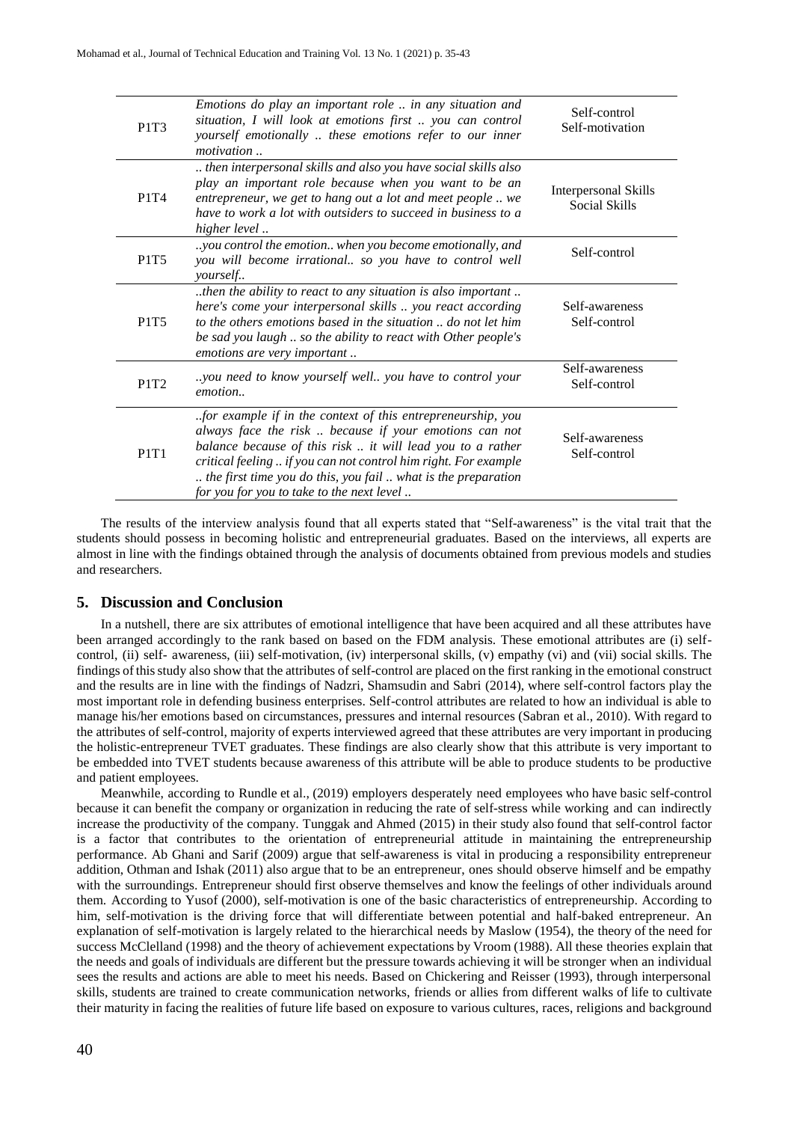| P1T3                          | Emotions do play an important role  in any situation and<br>situation, I will look at emotions first  you can control<br>yourself emotionally  these emotions refer to our inner<br><i>motivation</i>                                                                                                                                                                | Self-control<br>Self-motivation                     |
|-------------------------------|----------------------------------------------------------------------------------------------------------------------------------------------------------------------------------------------------------------------------------------------------------------------------------------------------------------------------------------------------------------------|-----------------------------------------------------|
| P1T4                          | then interpersonal skills and also you have social skills also<br>play an important role because when you want to be an<br>entrepreneur, we get to hang out a lot and meet people  we<br>have to work a lot with outsiders to succeed in business to a<br>higher level                                                                                               | <b>Interpersonal Skills</b><br><b>Social Skills</b> |
| <b>P1T5</b>                   | you control the emotion when you become emotionally, and<br>you will become irrational so you have to control well<br>yourself                                                                                                                                                                                                                                       | Self-control                                        |
| <b>P1T5</b>                   | then the ability to react to any situation is also important<br>here's come your interpersonal skills  you react according<br>to the others emotions based in the situation  do not let him<br>be sad you laugh  so the ability to react with Other people's<br>emotions are very important                                                                          | Self-awareness<br>Self-control                      |
| P <sub>1</sub> T <sub>2</sub> | you need to know yourself well you have to control your<br>emotion                                                                                                                                                                                                                                                                                                   | Self-awareness<br>Self-control                      |
| <b>P1T1</b>                   | for example if in the context of this entrepreneurship, you<br>always face the risk  because if your emotions can not<br>balance because of this risk  it will lead you to a rather<br>critical feeling  if you can not control him right. For example<br>the first time you do this, you fail  what is the preparation<br>for you for you to take to the next level | Self-awareness<br>Self-control                      |

The results of the interview analysis found that all experts stated that "Self-awareness" is the vital trait that the students should possess in becoming holistic and entrepreneurial graduates. Based on the interviews, all experts are almost in line with the findings obtained through the analysis of documents obtained from previous models and studies and researchers.

# **5. Discussion and Conclusion**

In a nutshell, there are six attributes of emotional intelligence that have been acquired and all these attributes have been arranged accordingly to the rank based on based on the FDM analysis. These emotional attributes are (i) selfcontrol, (ii) self- awareness, (iii) self-motivation, (iv) interpersonal skills, (v) empathy (vi) and (vii) social skills. The findings ofthisstudy also show that the attributes of self-control are placed on the first ranking in the emotional construct and the results are in line with the findings of Nadzri, Shamsudin and Sabri (2014), where self-control factors play the most important role in defending business enterprises. Self-control attributes are related to how an individual is able to manage his/her emotions based on circumstances, pressures and internal resources (Sabran et al., 2010). With regard to the attributes of self-control, majority of experts interviewed agreed that these attributes are very important in producing the holistic-entrepreneur TVET graduates. These findings are also clearly show that this attribute is very important to be embedded into TVET students because awareness of this attribute will be able to produce students to be productive and patient employees.

Meanwhile, according to Rundle et al., (2019) employers desperately need employees who have basic self-control because it can benefit the company or organization in reducing the rate of self-stress while working and can indirectly increase the productivity of the company. Tunggak and Ahmed (2015) in their study also found that self-control factor is a factor that contributes to the orientation of entrepreneurial attitude in maintaining the entrepreneurship performance. Ab Ghani and Sarif (2009) argue that self-awareness is vital in producing a responsibility entrepreneur addition, Othman and Ishak (2011) also argue that to be an entrepreneur, ones should observe himself and be empathy with the surroundings. Entrepreneur should first observe themselves and know the feelings of other individuals around them. According to Yusof (2000), self-motivation is one of the basic characteristics of entrepreneurship. According to him, self-motivation is the driving force that will differentiate between potential and half-baked entrepreneur. An explanation of self-motivation is largely related to the hierarchical needs by Maslow (1954), the theory of the need for success McClelland (1998) and the theory of achievement expectations by Vroom (1988). All these theories explain that the needs and goals of individuals are different but the pressure towards achieving it will be stronger when an individual sees the results and actions are able to meet his needs. Based on Chickering and Reisser (1993), through interpersonal skills, students are trained to create communication networks, friends or allies from different walks of life to cultivate their maturity in facing the realities of future life based on exposure to various cultures, races, religions and background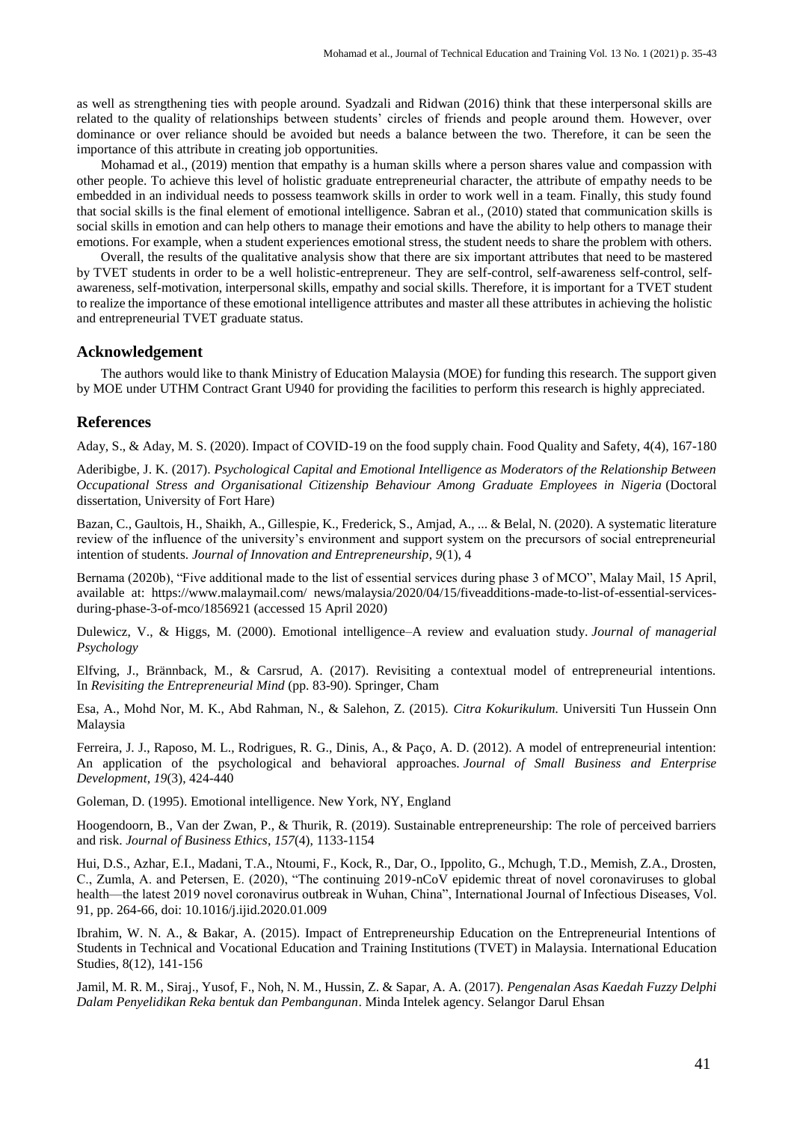as well as strengthening ties with people around. Syadzali and Ridwan (2016) think that these interpersonal skills are related to the quality of relationships between students' circles of friends and people around them. However, over dominance or over reliance should be avoided but needs a balance between the two. Therefore, it can be seen the importance of this attribute in creating job opportunities.

Mohamad et al., (2019) mention that empathy is a human skills where a person shares value and compassion with other people. To achieve this level of holistic graduate entrepreneurial character, the attribute of empathy needs to be embedded in an individual needs to possess teamwork skills in order to work well in a team. Finally, this study found that social skills is the final element of emotional intelligence. Sabran et al., (2010) stated that communication skills is social skills in emotion and can help others to manage their emotions and have the ability to help others to manage their emotions. For example, when a student experiences emotional stress, the student needs to share the problem with others.

Overall, the results of the qualitative analysis show that there are six important attributes that need to be mastered by TVET students in order to be a well holistic-entrepreneur. They are self-control, self-awareness self-control, selfawareness, self-motivation, interpersonal skills, empathy and social skills. Therefore, it is important for a TVET student to realize the importance of these emotional intelligence attributes and master all these attributes in achieving the holistic and entrepreneurial TVET graduate status.

#### **Acknowledgement**

The authors would like to thank Ministry of Education Malaysia (MOE) for funding this research. The support given by MOE under UTHM Contract Grant U940 for providing the facilities to perform this research is highly appreciated.

#### **References**

Aday, S., & Aday, M. S. (2020). Impact of COVID-19 on the food supply chain. Food Quality and Safety, 4(4), 167-180

Aderibigbe, J. K. (2017). *Psychological Capital and Emotional Intelligence as Moderators of the Relationship Between Occupational Stress and Organisational Citizenship Behaviour Among Graduate Employees in Nigeria* (Doctoral dissertation, University of Fort Hare)

Bazan, C., Gaultois, H., Shaikh, A., Gillespie, K., Frederick, S., Amjad, A., ... & Belal, N. (2020). A systematic literature review of the influence of the university's environment and support system on the precursors of social entrepreneurial intention of students. *Journal of Innovation and Entrepreneurship*, *9*(1), 4

Bernama (2020b), "Five additional made to the list of essential services during phase 3 of MCO", Malay Mail, 15 April, available at: https://www.malaymail.com/ news/malaysia/2020/04/15/fiveadditions-made-to-list-of-essential-servicesduring-phase-3-of-mco/1856921 (accessed 15 April 2020)

Dulewicz, V., & Higgs, M. (2000). Emotional intelligence–A review and evaluation study. *Journal of managerial Psychology*

Elfving, J., Brännback, M., & Carsrud, A. (2017). Revisiting a contextual model of entrepreneurial intentions. In *Revisiting the Entrepreneurial Mind* (pp. 83-90). Springer, Cham

Esa, A., Mohd Nor, M. K., Abd Rahman, N., & Salehon, Z. (2015). *Citra Kokurikulum.* Universiti Tun Hussein Onn Malaysia

Ferreira, J. J., Raposo, M. L., Rodrigues, R. G., Dinis, A., & Paço, A. D. (2012). A model of entrepreneurial intention: An application of the psychological and behavioral approaches. *Journal of Small Business and Enterprise Development*, *19*(3), 424-440

Goleman, D. (1995). Emotional intelligence. New York, NY, England

Hoogendoorn, B., Van der Zwan, P., & Thurik, R. (2019). Sustainable entrepreneurship: The role of perceived barriers and risk. *Journal of Business Ethics*, *157*(4), 1133-1154

Hui, D.S., Azhar, E.I., Madani, T.A., Ntoumi, F., Kock, R., Dar, O., Ippolito, G., Mchugh, T.D., Memish, Z.A., Drosten, C., Zumla, A. and Petersen, E. (2020), "The continuing 2019-nCoV epidemic threat of novel coronaviruses to global health—the latest 2019 novel coronavirus outbreak in Wuhan, China", International Journal of Infectious Diseases, Vol. 91, pp. 264-66, doi: 10.1016/j.ijid.2020.01.009

Ibrahim, W. N. A., & Bakar, A. (2015). Impact of Entrepreneurship Education on the Entrepreneurial Intentions of Students in Technical and Vocational Education and Training Institutions (TVET) in Malaysia. International Education Studies, 8(12), 141-156

Jamil, M. R. M., Siraj., Yusof, F., Noh, N. M., Hussin, Z. & Sapar, A. A. (2017). *Pengenalan Asas Kaedah Fuzzy Delphi Dalam Penyelidikan Reka bentuk dan Pembangunan*. Minda Intelek agency. Selangor Darul Ehsan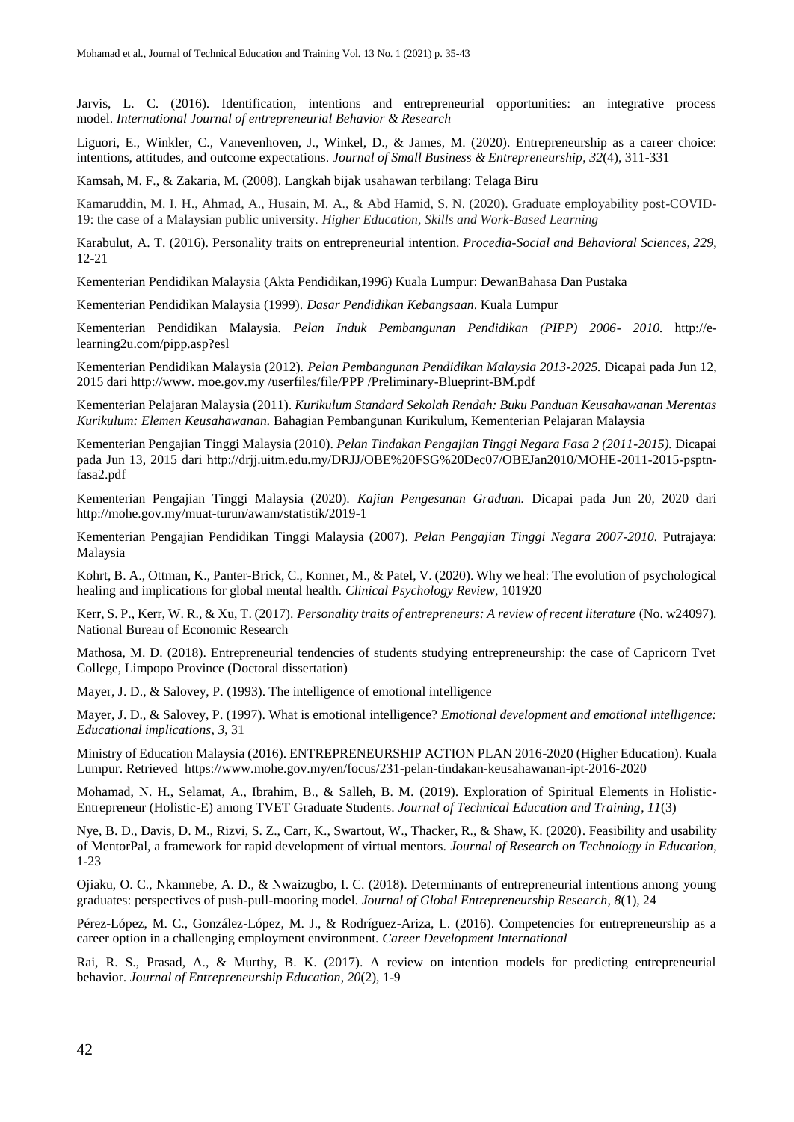Jarvis, L. C. (2016). Identification, intentions and entrepreneurial opportunities: an integrative process model. *International Journal of entrepreneurial Behavior & Research*

Liguori, E., Winkler, C., Vanevenhoven, J., Winkel, D., & James, M. (2020). Entrepreneurship as a career choice: intentions, attitudes, and outcome expectations. *Journal of Small Business & Entrepreneurship*, *32*(4), 311-331

Kamsah, M. F., & Zakaria, M. (2008). Langkah bijak usahawan terbilang: Telaga Biru

Kamaruddin, M. I. H., Ahmad, A., Husain, M. A., & Abd Hamid, S. N. (2020). Graduate employability post-COVID-19: the case of a Malaysian public university. *Higher Education, Skills and Work-Based Learning*

Karabulut, A. T. (2016). Personality traits on entrepreneurial intention. *Procedia-Social and Behavioral Sciences*, *229*, 12-21

Kementerian Pendidikan Malaysia (Akta Pendidikan,1996) Kuala Lumpur: DewanBahasa Dan Pustaka

Kementerian Pendidikan Malaysia (1999). *Dasar Pendidikan Kebangsaan*. Kuala Lumpur

Kementerian Pendidikan Malaysia. *Pelan Induk Pembangunan Pendidikan (PIPP) 2006- 2010.* [http://e](http://e-learning2u.com/pipp.asp?esl)[learning2u.com/pipp.asp?esl](http://e-learning2u.com/pipp.asp?esl)

Kementerian Pendidikan Malaysia (2012). *Pelan Pembangunan Pendidikan Malaysia 2013-2025.* Dicapai pada Jun 12, 2015 dari http://www. moe.gov.my /userfiles/file/PPP /Preliminary-Blueprint-BM.pdf

Kementerian Pelajaran Malaysia (2011). *Kurikulum Standard Sekolah Rendah: Buku Panduan Keusahawanan Merentas Kurikulum: Elemen Keusahawanan.* Bahagian Pembangunan Kurikulum, Kementerian Pelajaran Malaysia

Kementerian Pengajian Tinggi Malaysia (2010). *Pelan Tindakan Pengajian Tinggi Negara Fasa 2 (2011-2015).* Dicapai pada Jun 13, 2015 dari [http://drjj.uitm.edu.my/DRJJ/OBE%20FSG%20Dec07/OBEJan2010/MOHE-2011-2015-psptn](http://drjj.uitm.edu.my/DRJJ/OBE%20FSG%20Dec07/OBEJan2010/MOHE-2011-2015-psptn-fasa2.pdf)[fasa2.pdf](http://drjj.uitm.edu.my/DRJJ/OBE%20FSG%20Dec07/OBEJan2010/MOHE-2011-2015-psptn-fasa2.pdf) 

Kementerian Pengajian Tinggi Malaysia (2020). *Kajian Pengesanan Graduan.* Dicapai pada Jun 20, 2020 dari http://mohe.gov.my/muat-turun/awam/statistik/2019-1

Kementerian Pengajian Pendidikan Tinggi Malaysia (2007). *Pelan Pengajian Tinggi Negara 2007-2010.* Putrajaya: Malaysia

Kohrt, B. A., Ottman, K., Panter-Brick, C., Konner, M., & Patel, V. (2020). Why we heal: The evolution of psychological healing and implications for global mental health. *Clinical Psychology Review*, 101920

Kerr, S. P., Kerr, W. R., & Xu, T. (2017). *Personality traits of entrepreneurs: A review of recent literature* (No. w24097). National Bureau of Economic Research

Mathosa, M. D. (2018). Entrepreneurial tendencies of students studying entrepreneurship: the case of Capricorn Tvet College, Limpopo Province (Doctoral dissertation)

Mayer, J. D., & Salovey, P. (1993). The intelligence of emotional intelligence

Mayer, J. D., & Salovey, P. (1997). What is emotional intelligence? *Emotional development and emotional intelligence: Educational implications*, *3*, 31

Ministry of Education Malaysia (2016). ENTREPRENEURSHIP ACTION PLAN 2016-2020 (Higher Education). Kuala Lumpur. Retrieved <https://www.mohe.gov.my/en/focus/231-pelan-tindakan-keusahawanan-ipt-2016-2020>

Mohamad, N. H., Selamat, A., Ibrahim, B., & Salleh, B. M. (2019). Exploration of Spiritual Elements in Holistic-Entrepreneur (Holistic-E) among TVET Graduate Students. *Journal of Technical Education and Training*, *11*(3)

Nye, B. D., Davis, D. M., Rizvi, S. Z., Carr, K., Swartout, W., Thacker, R., & Shaw, K. (2020). Feasibility and usability of MentorPal, a framework for rapid development of virtual mentors. *Journal of Research on Technology in Education*, 1-23

Ojiaku, O. C., Nkamnebe, A. D., & Nwaizugbo, I. C. (2018). Determinants of entrepreneurial intentions among young graduates: perspectives of push-pull-mooring model. *Journal of Global Entrepreneurship Research*, *8*(1), 24

Pérez-López, M. C., González-López, M. J., & Rodríguez-Ariza, L. (2016). Competencies for entrepreneurship as a career option in a challenging employment environment. *Career Development International*

Rai, R. S., Prasad, A., & Murthy, B. K. (2017). A review on intention models for predicting entrepreneurial behavior. *Journal of Entrepreneurship Education*, *20*(2), 1-9